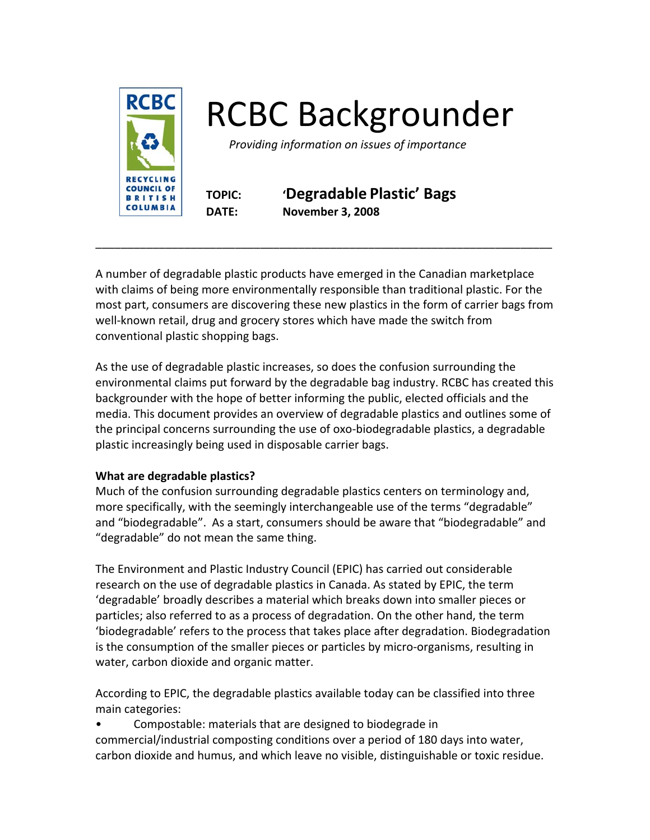

# RCBC Backgrounder

 *Providing information on issues of importance* 

**TOPIC: 'Degradable Plastic' Bags DATE: November 3, 2008** 

A number of degradable plastic products have emerged in the Canadian marketplace with claims of being more environmentally responsible than traditional plastic. For the most part, consumers are discovering these new plastics in the form of carrier bags from well-known retail, drug and grocery stores which have made the switch from conventional plastic shopping bags.

\_\_\_\_\_\_\_\_\_\_\_\_\_\_\_\_\_\_\_\_\_\_\_\_\_\_\_\_\_\_\_\_\_\_\_\_\_\_\_\_\_\_\_\_\_\_\_\_\_\_\_\_\_\_\_\_\_\_\_\_\_\_\_\_\_\_\_\_\_\_\_\_

As the use of degradable plastic increases, so does the confusion surrounding the environmental claims put forward by the degradable bag industry. RCBC has created this backgrounder with the hope of better informing the public, elected officials and the media. This document provides an overview of degradable plastics and outlines some of the principal concerns surrounding the use of oxo‐biodegradable plastics, a degradable plastic increasingly being used in disposable carrier bags.

# **What are degradable plastics?**

Much of the confusion surrounding degradable plastics centers on terminology and, more specifically, with the seemingly interchangeable use of the terms "degradable" and "biodegradable". As a start, consumers should be aware that "biodegradable" and "degradable" do not mean the same thing.

The Environment and Plastic Industry Council (EPIC) has carried out considerable research on the use of degradable plastics in Canada. As stated by EPIC, the term 'degradable' broadly describes a material which breaks down into smaller pieces or particles; also referred to as a process of degradation. On the other hand, the term 'biodegradable' refers to the process that takes place after degradation. Biodegradation is the consumption of the smaller pieces or particles by micro-organisms, resulting in water, carbon dioxide and organic matter.

According to EPIC, the degradable plastics available today can be classified into three main categories:

• Compostable: materials that are designed to biodegrade in

commercial/industrial composting conditions over a period of 180 days into water, carbon dioxide and humus, and which leave no visible, distinguishable or toxic residue.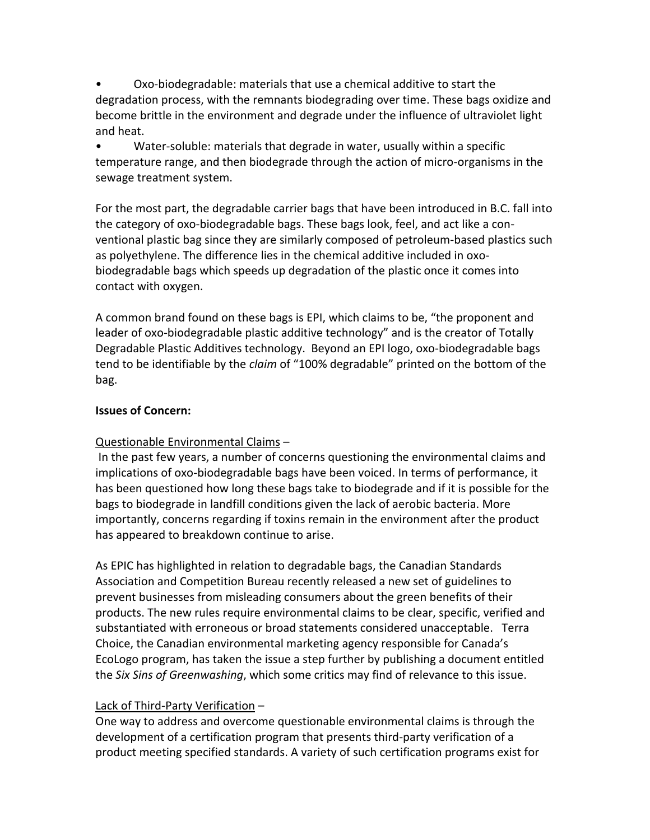• Oxo‐biodegradable: materials that use a chemical additive to start the degradation process, with the remnants biodegrading over time. These bags oxidize and become brittle in the environment and degrade under the influence of ultraviolet light and heat.

• Water-soluble: materials that degrade in water, usually within a specific temperature range, and then biodegrade through the action of micro‐organisms in the sewage treatment system.

For the most part, the degradable carrier bags that have been introduced in B.C. fall into the category of oxo‐biodegradable bags. These bags look, feel, and act like a con‐ ventional plastic bag since they are similarly composed of petroleum‐based plastics such as polyethylene. The difference lies in the chemical additive included in oxo‐ biodegradable bags which speeds up degradation of the plastic once it comes into contact with oxygen.

A common brand found on these bags is EPI, which claims to be, "the proponent and leader of oxo‐biodegradable plastic additive technology" and is the creator of Totally Degradable Plastic Additives technology. Beyond an EPI logo, oxo‐biodegradable bags tend to be identifiable by the *claim* of "100% degradable" printed on the bottom of the bag.

## **Issues of Concern:**

# Questionable Environmental Claims –

 In the past few years, a number of concerns questioning the environmental claims and implications of oxo-biodegradable bags have been voiced. In terms of performance, it has been questioned how long these bags take to biodegrade and if it is possible for the bags to biodegrade in landfill conditions given the lack of aerobic bacteria. More importantly, concerns regarding if toxins remain in the environment after the product has appeared to breakdown continue to arise.

As EPIC has highlighted in relation to degradable bags, the Canadian Standards Association and Competition Bureau recently released a new set of guidelines to prevent businesses from misleading consumers about the green benefits of their products. The new rules require environmental claims to be clear, specific, verified and substantiated with erroneous or broad statements considered unacceptable. Terra Choice, the Canadian environmental marketing agency responsible for Canada's EcoLogo program, has taken the issue a step further by publishing a document entitled the *Six Sins of Greenwashing*, which some critics may find of relevance to this issue.

## Lack of Third‐Party Verification –

One way to address and overcome questionable environmental claims is through the development of a certification program that presents third‐party verification of a product meeting specified standards. A variety of such certification programs exist for